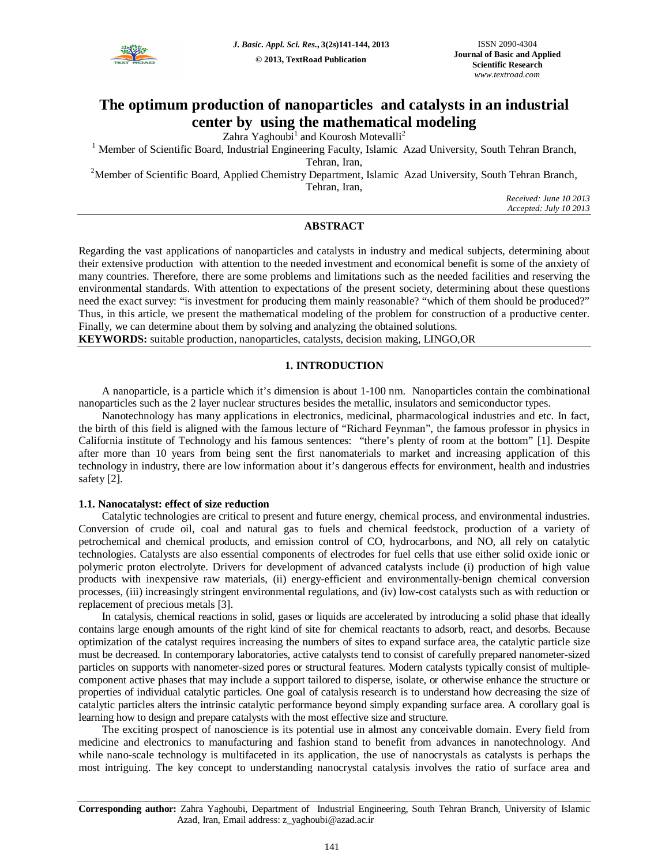

# **The optimum production of nanoparticles and catalysts in an industrial center by using the mathematical modeling**

Zahra Yaghoubi<sup>1</sup> and Kourosh Motevalli<sup>2</sup>

<sup>1</sup> Member of Scientific Board, Industrial Engineering Faculty, Islamic Azad University, South Tehran Branch,

Tehran, Iran,

<sup>2</sup>Member of Scientific Board, Applied Chemistry Department, Islamic Azad University, South Tehran Branch, Tehran, Iran,

> *Received: June 10 2013 Accepted: July 10 2013*

## **ABSTRACT**

Regarding the vast applications of nanoparticles and catalysts in industry and medical subjects, determining about their extensive production with attention to the needed investment and economical benefit is some of the anxiety of many countries. Therefore, there are some problems and limitations such as the needed facilities and reserving the environmental standards. With attention to expectations of the present society, determining about these questions need the exact survey: "is investment for producing them mainly reasonable? "which of them should be produced?" Thus, in this article, we present the mathematical modeling of the problem for construction of a productive center. Finally, we can determine about them by solving and analyzing the obtained solutions.

**KEYWORDS:** suitable production, nanoparticles, catalysts, decision making, LINGO,OR

## **1. INTRODUCTION**

A nanoparticle, is a particle which it's dimension is about 1-100 nm. Nanoparticles contain the combinational nanoparticles such as the 2 layer nuclear structures besides the metallic, insulators and semiconductor types.

Nanotechnology has many applications in electronics, medicinal, pharmacological industries and etc. In fact, the birth of this field is aligned with the famous lecture of "Richard Feynman", the famous professor in physics in California institute of Technology and his famous sentences: "there's plenty of room at the bottom" [1]. Despite after more than 10 years from being sent the first nanomaterials to market and increasing application of this technology in industry, there are low information about it's dangerous effects for environment, health and industries safety [2].

#### **1.1. Nanocatalyst: effect of size reduction**

Catalytic technologies are critical to present and future energy, chemical process, and environmental industries. Conversion of crude oil, coal and natural gas to fuels and chemical feedstock, production of a variety of petrochemical and chemical products, and emission control of CO, hydrocarbons, and NO, all rely on catalytic technologies. Catalysts are also essential components of electrodes for fuel cells that use either solid oxide ionic or polymeric proton electrolyte. Drivers for development of advanced catalysts include (i) production of high value products with inexpensive raw materials, (ii) energy-efficient and environmentally-benign chemical conversion processes, (iii) increasingly stringent environmental regulations, and (iv) low-cost catalysts such as with reduction or replacement of precious metals [3].

In catalysis, chemical reactions in solid, gases or liquids are accelerated by introducing a solid phase that ideally contains large enough amounts of the right kind of site for chemical reactants to adsorb, react, and desorbs. Because optimization of the catalyst requires increasing the numbers of sites to expand surface area, the catalytic particle size must be decreased. In contemporary laboratories, active catalysts tend to consist of carefully prepared nanometer-sized particles on supports with nanometer-sized pores or structural features. Modern catalysts typically consist of multiplecomponent active phases that may include a support tailored to disperse, isolate, or otherwise enhance the structure or properties of individual catalytic particles. One goal of catalysis research is to understand how decreasing the size of catalytic particles alters the intrinsic catalytic performance beyond simply expanding surface area. A corollary goal is learning how to design and prepare catalysts with the most effective size and structure.

The exciting prospect of nanoscience is its potential use in almost any conceivable domain. Every field from medicine and electronics to manufacturing and fashion stand to benefit from advances in nanotechnology. And while nano-scale technology is multifaceted in its application, the use of nanocrystals as catalysts is perhaps the most intriguing. The key concept to understanding nanocrystal catalysis involves the ratio of surface area and

**Corresponding author:** Zahra Yaghoubi, Department of Industrial Engineering, South Tehran Branch, University of Islamic Azad, Iran, Email address: z\_yaghoubi@azad.ac.ir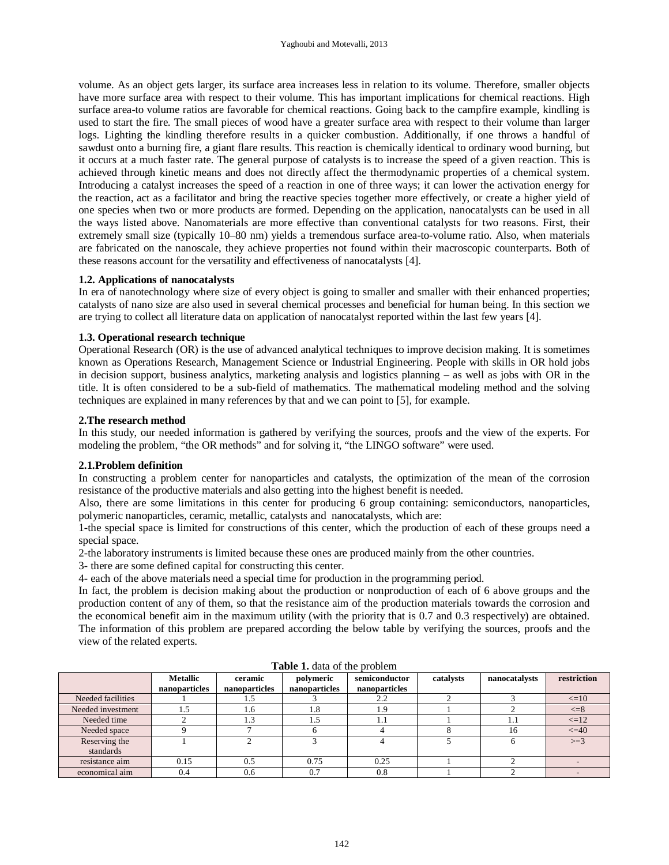volume. As an object gets larger, its surface area increases less in relation to its volume. Therefore, smaller objects have more surface area with respect to their volume. This has important implications for chemical reactions. High surface area-to volume ratios are favorable for chemical reactions. Going back to the campfire example, kindling is used to start the fire. The small pieces of wood have a greater surface area with respect to their volume than larger logs. Lighting the kindling therefore results in a quicker combustion. Additionally, if one throws a handful of sawdust onto a burning fire, a giant flare results. This reaction is chemically identical to ordinary wood burning, but it occurs at a much faster rate. The general purpose of catalysts is to increase the speed of a given reaction. This is achieved through kinetic means and does not directly affect the thermodynamic properties of a chemical system. Introducing a catalyst increases the speed of a reaction in one of three ways; it can lower the activation energy for the reaction, act as a facilitator and bring the reactive species together more effectively, or create a higher yield of one species when two or more products are formed. Depending on the application, nanocatalysts can be used in all the ways listed above. Nanomaterials are more effective than conventional catalysts for two reasons. First, their extremely small size (typically 10–80 nm) yields a tremendous surface area-to-volume ratio. Also, when materials are fabricated on the nanoscale, they achieve properties not found within their macroscopic counterparts. Both of these reasons account for the versatility and effectiveness of nanocatalysts [4].

## **1.2. Applications of nanocatalysts**

In era of nanotechnology where size of every object is going to smaller and smaller with their enhanced properties; catalysts of nano size are also used in several chemical processes and beneficial for human being. In this section we are trying to collect all literature data on application of nanocatalyst reported within the last few years [4].

## **1.3. Operational research technique**

Operational Research (OR) is the use of advanced analytical techniques to improve decision making. It is sometimes known as Operations Research, Management Science or Industrial Engineering. People with skills in OR hold jobs in decision support, business analytics, marketing analysis and logistics planning – as well as jobs with OR in the title. It is often considered to be a sub-field of mathematics. The mathematical modeling method and the solving techniques are explained in many references by that and we can point to [5], for example.

#### **2.The research method**

In this study, our needed information is gathered by verifying the sources, proofs and the view of the experts. For modeling the problem, "the OR methods" and for solving it, "the LINGO software" were used.

#### **2.1.Problem definition**

In constructing a problem center for nanoparticles and catalysts, the optimization of the mean of the corrosion resistance of the productive materials and also getting into the highest benefit is needed.

Also, there are some limitations in this center for producing 6 group containing: semiconductors, nanoparticles, polymeric nanoparticles, ceramic, metallic, catalysts and nanocatalysts, which are:

1-the special space is limited for constructions of this center, which the production of each of these groups need a special space.

2-the laboratory instruments is limited because these ones are produced mainly from the other countries.

3- there are some defined capital for constructing this center.

4- each of the above materials need a special time for production in the programming period.

In fact, the problem is decision making about the production or nonproduction of each of 6 above groups and the production content of any of them, so that the resistance aim of the production materials towards the corrosion and the economical benefit aim in the maximum utility (with the priority that is 0.7 and 0.3 respectively) are obtained. The information of this problem are prepared according the below table by verifying the sources, proofs and the view of the related experts.

|                            | <b>Metallic</b><br>nanoparticles | ceramic<br>nanoparticles | polymeric<br>nanoparticles | semiconductor<br>nanoparticles | catalysts | nanocatalysts | restriction |
|----------------------------|----------------------------------|--------------------------|----------------------------|--------------------------------|-----------|---------------|-------------|
| Needed facilities          |                                  | 1.5                      |                            | 2.2                            |           |               | $\leq$ 10   |
| Needed investment          |                                  | l.6                      | 1.8                        | 1.9                            |           |               | $\leq=8$    |
| Needed time                |                                  | 1.3                      | 1.5                        | 1.1                            |           | 1.1           | $\leq$ 12   |
| Needed space               |                                  |                          |                            |                                |           | 16            | $\leq$ =40  |
| Reserving the<br>standards |                                  |                          |                            |                                |           |               | $>=3$       |
| resistance aim             | 0.15                             | 0.5                      | 0.75                       | 0.25                           |           |               |             |
| economical aim             | 0.4                              | 0.6                      | 0.7                        | 0.8                            |           |               |             |

**Table 1.** data of the problem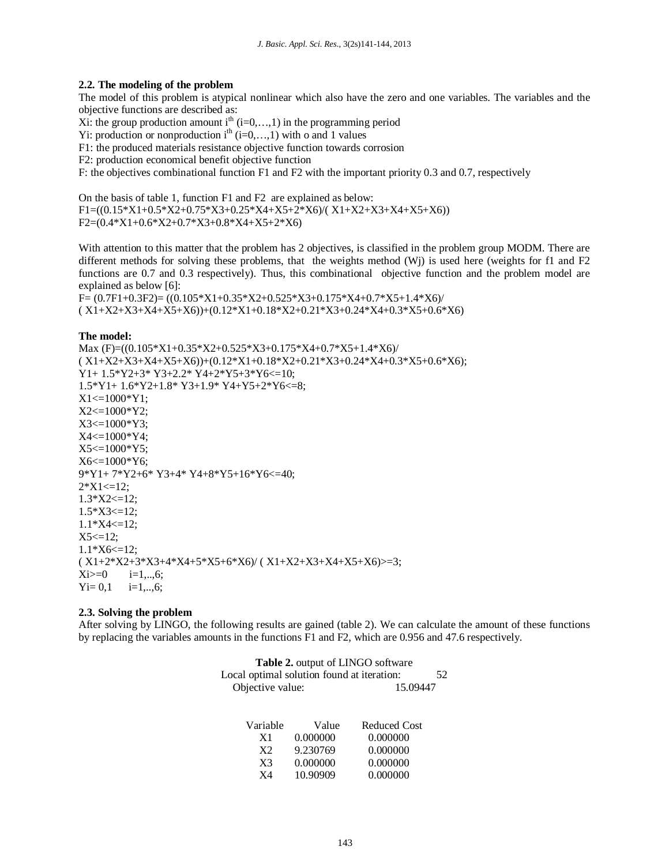### **2.2. The modeling of the problem**

The model of this problem is atypical nonlinear which also have the zero and one variables. The variables and the objective functions are described as:

Xi: the group production amount  $i<sup>th</sup>$  (i=0,...,1) in the programming period

Yi: production or nonproduction  $i^{th}$  (i=0,...,1) with o and 1 values

F1: the produced materials resistance objective function towards corrosion

F2: production economical benefit objective function

F: the objectives combinational function F1 and F2 with the important priority 0.3 and 0.7, respectively

On the basis of table 1, function F1 and F2 are explained as below: F1=((0.15\*X1+0.5\*X2+0.75\*X3+0.25\*X4+X5+2\*X6)/( X1+X2+X3+X4+X5+X6)) F2=(0.4\*X1+0.6\*X2+0.7\*X3+0.8\*X4+X5+2\*X6)

With attention to this matter that the problem has 2 objectives, is classified in the problem group MODM. There are different methods for solving these problems, that the weights method  $(Wj)$  is used here (weights for f1 and F2 functions are 0.7 and 0.3 respectively). Thus, this combinational objective function and the problem model are explained as below [6]:

 $F=(0.7F1+0.3F2)=(0.105*X1+0.35*X2+0.525*X3+0.175*X4+0.7*X5+1.4*X6)/$ ( X1+X2+X3+X4+X5+X6))+(0.12\*X1+0.18\*X2+0.21\*X3+0.24\*X4+0.3\*X5+0.6\*X6)

### **The model:**

Max (F)=((0.105\*X1+0.35\*X2+0.525\*X3+0.175\*X4+0.7\*X5+1.4\*X6)/  $(X1+X2+X3+X4+X5+X6)$  +  $(0.12*X1+0.18*X2+0.21*X3+0.24*X4+0.3*X5+0.6*X6)$ ; Y1+ 1.5\*Y2+3\* Y3+2.2\* Y4+2\*Y5+3\*Y6<=10; 1.5\*Y1+ 1.6\*Y2+1.8\* Y3+1.9\* Y4+Y5+2\*Y6<=8;  $X1 \leq 1000*Y1$ ;  $X2 \le 1000*Y2$ ;  $X3 \le 1000*Y3$ ; X4<=1000\*Y4; X5<=1000\*Y5; X6<=1000\*Y6; 9\*Y1+ 7\*Y2+6\* Y3+4\* Y4+8\*Y5+16\*Y6<=40;  $2*X1 \le 12;$ 1.3\*X2<=12;  $1.5*X3 \le 12;$  $1.1*X4 \le 12$ ;  $X5 \leq 12$ :  $1.1*X6 \le 12;$ ( X1+2\*X2+3\*X3+4\*X4+5\*X5+6\*X6)/ ( X1+X2+X3+X4+X5+X6)>=3;  $Xi >=0$  i=1,..,6;  $Y_i = 0,1$  i=1,...6;

## **2.3. Solving the problem**

After solving by LINGO, the following results are gained (table 2). We can calculate the amount of these functions by replacing the variables amounts in the functions F1 and F2, which are 0.956 and 47.6 respectively.

| <b>Table 2.</b> output of LINGO software   |          |  |
|--------------------------------------------|----------|--|
| Local optimal solution found at iteration: | 52       |  |
| Objective value:                           | 15.09447 |  |

| Variable | Value    | Reduced Cost |
|----------|----------|--------------|
| X1       | 0.000000 | 0.000000     |
| X2       | 9.230769 | 0.000000     |
| X3       | 0.000000 | 0.000000     |
| X4       | 10.90909 | 0.000000     |